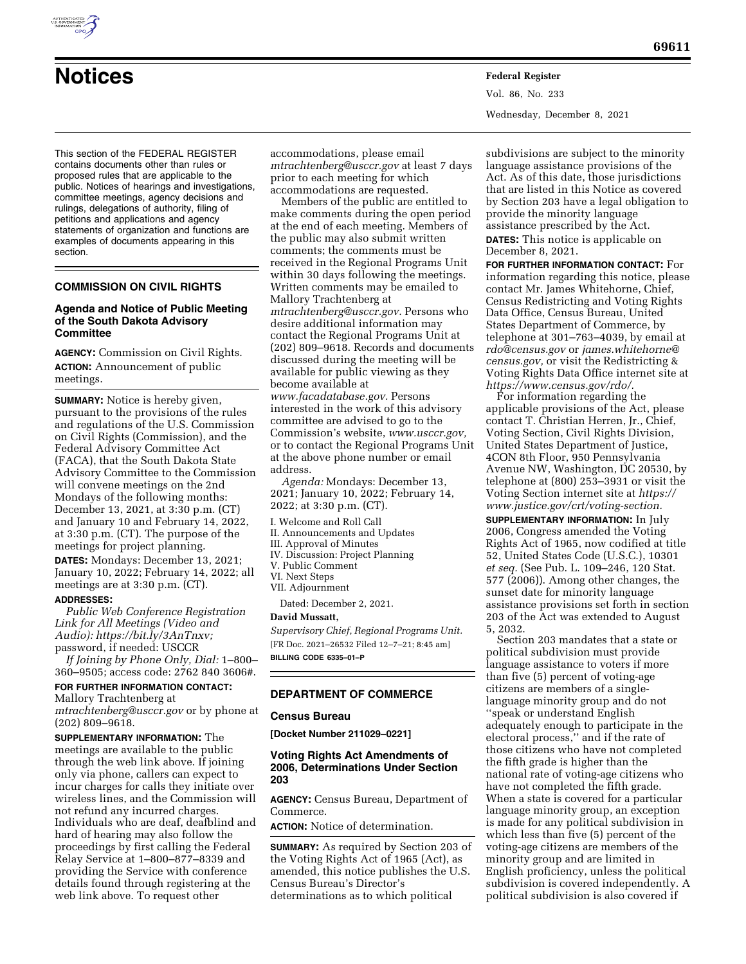

# **Notices Federal Register**

Vol. 86, No. 233 Wednesday, December 8, 2021

This section of the FEDERAL REGISTER contains documents other than rules or proposed rules that are applicable to the public. Notices of hearings and investigations, committee meetings, agency decisions and rulings, delegations of authority, filing of petitions and applications and agency statements of organization and functions are examples of documents appearing in this section.

# **COMMISSION ON CIVIL RIGHTS**

#### **Agenda and Notice of Public Meeting of the South Dakota Advisory Committee**

**AGENCY:** Commission on Civil Rights. **ACTION:** Announcement of public meetings.

**SUMMARY:** Notice is hereby given, pursuant to the provisions of the rules and regulations of the U.S. Commission on Civil Rights (Commission), and the Federal Advisory Committee Act (FACA), that the South Dakota State Advisory Committee to the Commission will convene meetings on the 2nd Mondays of the following months: December 13, 2021, at 3:30 p.m. (CT) and January 10 and February 14, 2022, at 3:30 p.m. (CT). The purpose of the meetings for project planning.

**DATES:** Mondays: December 13, 2021; January 10, 2022; February 14, 2022; all meetings are at 3:30 p.m. (CT).

#### **ADDRESSES:**

*Public Web Conference Registration Link for All Meetings (Video and Audio): [https://bit.ly/3AnTnxv;](https://bit.ly/3AnTnxv)*  password, if needed: USCCR

*If Joining by Phone Only, Dial:* 1–800– 360–9505; access code: 2762 840 3606#.

# **FOR FURTHER INFORMATION CONTACT:**

Mallory Trachtenberg at *[mtrachtenberg@usccr.gov](mailto:mtrachtenberg@usccr.gov)* or by phone at (202) 809–9618.

**SUPPLEMENTARY INFORMATION:** The meetings are available to the public through the web link above. If joining only via phone, callers can expect to incur charges for calls they initiate over wireless lines, and the Commission will not refund any incurred charges. Individuals who are deaf, deafblind and hard of hearing may also follow the proceedings by first calling the Federal Relay Service at 1–800–877–8339 and providing the Service with conference details found through registering at the web link above. To request other

accommodations, please email *[mtrachtenberg@usccr.gov](mailto:mtrachtenberg@usccr.gov)* at least 7 days prior to each meeting for which accommodations are requested.

Members of the public are entitled to make comments during the open period at the end of each meeting. Members of the public may also submit written comments; the comments must be received in the Regional Programs Unit within 30 days following the meetings. Written comments may be emailed to Mallory Trachtenberg at *[mtrachtenberg@usccr.gov.](mailto:mtrachtenberg@usccr.gov)* Persons who desire additional information may contact the Regional Programs Unit at (202) 809–9618. Records and documents discussed during the meeting will be available for public viewing as they become available at *[www.facadatabase.gov.](http://www.facadatabase.gov)* Persons

interested in the work of this advisory committee are advised to go to the Commission's website, *[www.usccr.gov,](http://www.usccr.gov)*  or to contact the Regional Programs Unit at the above phone number or email address.

*Agenda:* Mondays: December 13, 2021; January 10, 2022; February 14, 2022; at 3:30 p.m. (CT).

I. Welcome and Roll Call

- II. Announcements and Updates
- III. Approval of Minutes
- IV. Discussion: Project Planning
- V. Public Comment
- VI. Next Steps VII. Adjournment

Dated: December 2, 2021.

# **David Mussatt,**

*Supervisory Chief, Regional Programs Unit.*  [FR Doc. 2021–26532 Filed 12–7–21; 8:45 am] **BILLING CODE 6335–01–P** 

# **DEPARTMENT OF COMMERCE**

# **Census Bureau**

**[Docket Number 211029–0221]** 

# **Voting Rights Act Amendments of 2006, Determinations Under Section 203**

**AGENCY:** Census Bureau, Department of Commerce.

**ACTION:** Notice of determination.

**SUMMARY:** As required by Section 203 of the Voting Rights Act of 1965 (Act), as amended, this notice publishes the U.S. Census Bureau's Director's determinations as to which political

subdivisions are subject to the minority language assistance provisions of the Act. As of this date, those jurisdictions that are listed in this Notice as covered by Section 203 have a legal obligation to provide the minority language assistance prescribed by the Act. **DATES:** This notice is applicable on December 8, 2021.

**FOR FURTHER INFORMATION CONTACT:** For information regarding this notice, please contact Mr. James Whitehorne, Chief, Census Redistricting and Voting Rights Data Office, Census Bureau, United States Department of Commerce, by telephone at 301–763–4039, by email at *[rdo@census.gov](mailto:rdo@census.gov)* or *[james.whitehorne@](mailto:james.whitehorne@census.gov) [census.gov,](mailto:james.whitehorne@census.gov)* or visit the Redistricting & Voting Rights Data Office internet site at *[https://www.census.gov/rdo/.](https://www.census.gov/rdo/)* 

For information regarding the applicable provisions of the Act, please contact T. Christian Herren, Jr., Chief, Voting Section, Civil Rights Division, United States Department of Justice, 4CON 8th Floor, 950 Pennsylvania Avenue NW, Washington, DC 20530, by telephone at (800) 253–3931 or visit the Voting Section internet site at *[https://](https://www.justice.gov/crt/voting-section) [www.justice.gov/crt/voting-section.](https://www.justice.gov/crt/voting-section)* 

**SUPPLEMENTARY INFORMATION:** In July 2006, Congress amended the Voting Rights Act of 1965, now codified at title 52, United States Code (U.S.C.), 10301 *et seq.* (See Pub. L. 109–246, 120 Stat. 577 (2006)). Among other changes, the sunset date for minority language assistance provisions set forth in section 203 of the Act was extended to August 5, 2032.

Section 203 mandates that a state or political subdivision must provide language assistance to voters if more than five (5) percent of voting-age citizens are members of a singlelanguage minority group and do not ''speak or understand English adequately enough to participate in the electoral process,'' and if the rate of those citizens who have not completed the fifth grade is higher than the national rate of voting-age citizens who have not completed the fifth grade. When a state is covered for a particular language minority group, an exception is made for any political subdivision in which less than five (5) percent of the voting-age citizens are members of the minority group and are limited in English proficiency, unless the political subdivision is covered independently. A political subdivision is also covered if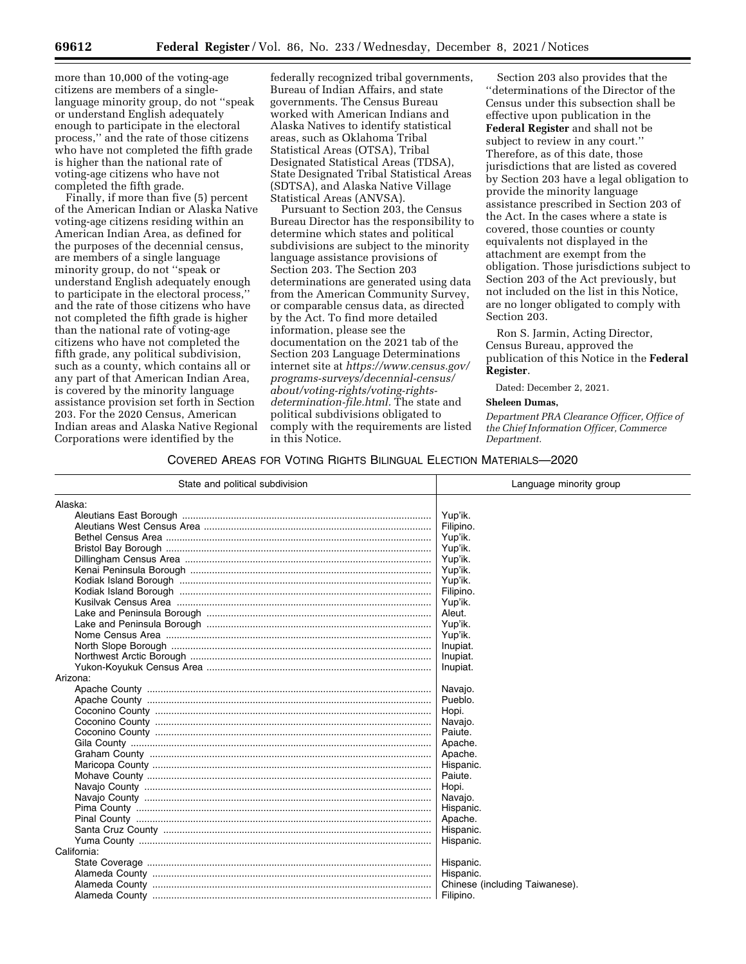Finally, if more than five (5) percent of the American Indian or Alaska Native voting-age citizens residing within an American Indian Area, as defined for the purposes of the decennial census, are members of a single language minority group, do not ''speak or understand English adequately enough to participate in the electoral process,'' and the rate of those citizens who have not completed the fifth grade is higher than the national rate of voting-age citizens who have not completed the fifth grade, any political subdivision, such as a county, which contains all or any part of that American Indian Area, is covered by the minority language assistance provision set forth in Section 203. For the 2020 Census, American Indian areas and Alaska Native Regional Corporations were identified by the

federally recognized tribal governments, Bureau of Indian Affairs, and state governments. The Census Bureau worked with American Indians and Alaska Natives to identify statistical areas, such as Oklahoma Tribal Statistical Areas (OTSA), Tribal Designated Statistical Areas (TDSA), State Designated Tribal Statistical Areas (SDTSA), and Alaska Native Village Statistical Areas (ANVSA).

Pursuant to Section 203, the Census Bureau Director has the responsibility to determine which states and political subdivisions are subject to the minority language assistance provisions of Section 203. The Section 203 determinations are generated using data from the American Community Survey, or comparable census data, as directed by the Act. To find more detailed information, please see the documentation on the 2021 tab of the Section 203 Language Determinations internet site at *[https://www.census.gov/](https://www.census.gov/programs-surveys/decennial-census/about/voting-rights/voting-rights-determination-file.html)  [programs-surveys/decennial-census/](https://www.census.gov/programs-surveys/decennial-census/about/voting-rights/voting-rights-determination-file.html) [about/voting-rights/voting-rights](https://www.census.gov/programs-surveys/decennial-census/about/voting-rights/voting-rights-determination-file.html)[determination-file.html.](https://www.census.gov/programs-surveys/decennial-census/about/voting-rights/voting-rights-determination-file.html)* The state and political subdivisions obligated to comply with the requirements are listed in this Notice.

Section 203 also provides that the ''determinations of the Director of the Census under this subsection shall be effective upon publication in the **Federal Register** and shall not be subject to review in any court.'' Therefore, as of this date, those jurisdictions that are listed as covered by Section 203 have a legal obligation to provide the minority language assistance prescribed in Section 203 of the Act. In the cases where a state is covered, those counties or county equivalents not displayed in the attachment are exempt from the obligation. Those jurisdictions subject to Section 203 of the Act previously, but not included on the list in this Notice, are no longer obligated to comply with Section 203.

Ron S. Jarmin, Acting Director, Census Bureau, approved the publication of this Notice in the **Federal Register**.

Dated: December 2, 2021.

#### **Sheleen Dumas,**

*Department PRA Clearance Officer, Office of the Chief Information Officer, Commerce Department.* 

# COVERED AREAS FOR VOTING RIGHTS BILINGUAL ELECTION MATERIALS—2020

| State and political subdivision | Language minority group        |
|---------------------------------|--------------------------------|
| Alaska:                         |                                |
|                                 | Yup'ik.                        |
|                                 | Filipino.                      |
|                                 | Yup'ik.                        |
|                                 | Yup'ik.                        |
|                                 | Yup'ik.                        |
|                                 | Yup'ik.                        |
|                                 | Yup'ik.                        |
|                                 | Filipino.                      |
|                                 | Yup'ik.                        |
|                                 | Aleut.                         |
|                                 | Yup'ik.                        |
|                                 | Yup'ik.                        |
|                                 | Inupiat.                       |
|                                 | Inupiat.                       |
|                                 | Inupiat.                       |
| Arizona:                        |                                |
|                                 | Navajo.                        |
|                                 | Pueblo.                        |
|                                 | Hopi.                          |
|                                 | Navajo.                        |
|                                 | Paiute.                        |
|                                 | Apache.                        |
|                                 | Apache.                        |
|                                 | Hispanic.                      |
|                                 | Paiute.                        |
|                                 | Hopi.                          |
|                                 | Navajo.                        |
|                                 | Hispanic.                      |
|                                 | Apache.                        |
|                                 | Hispanic.                      |
|                                 | Hispanic.                      |
| California:                     |                                |
|                                 | Hispanic.                      |
|                                 | Hispanic.                      |
|                                 | Chinese (including Taiwanese). |
|                                 | Filipino.                      |
|                                 |                                |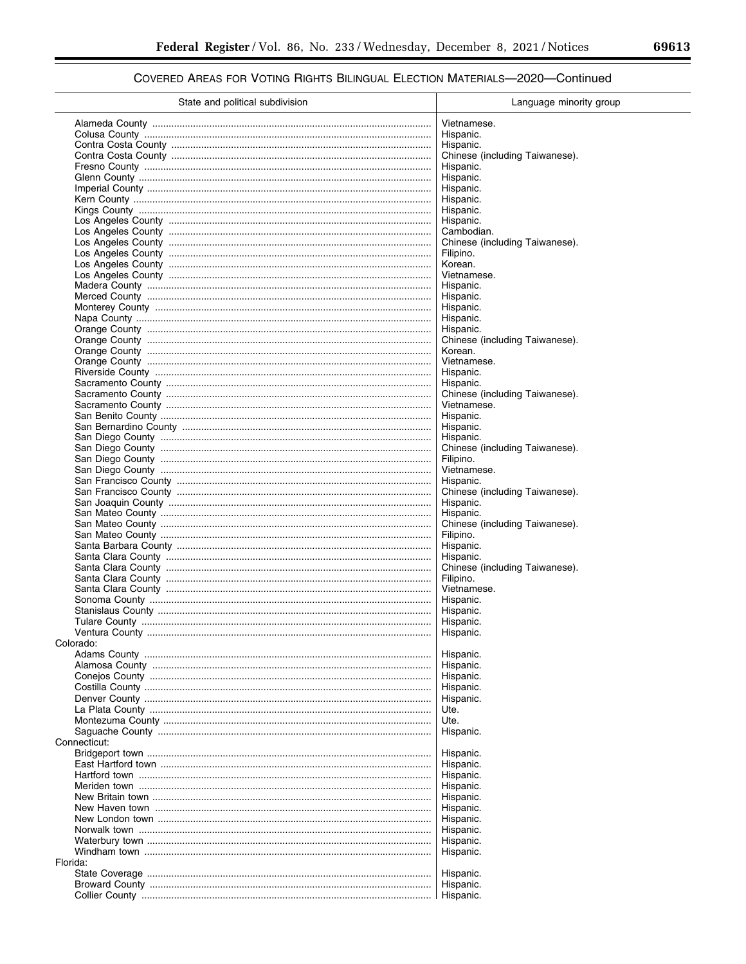| State and political subdivision | Language minority group        |
|---------------------------------|--------------------------------|
|                                 | Vietnamese.                    |
|                                 | Hispanic.                      |
|                                 | Hispanic.                      |
|                                 | Chinese (including Taiwanese). |
|                                 | Hispanic.                      |
|                                 | Hispanic.                      |
|                                 | Hispanic.                      |
|                                 | Hispanic.                      |
|                                 | Hispanic.                      |
|                                 | Hispanic.                      |
|                                 | Cambodian.                     |
|                                 | Chinese (including Taiwanese). |
|                                 | Filipino.                      |
|                                 | Korean.                        |
|                                 | Vietnamese.                    |
|                                 | Hispanic.                      |
|                                 | Hispanic.                      |
|                                 | Hispanic.                      |
|                                 | Hispanic.                      |
|                                 | Hispanic.                      |
|                                 | Chinese (including Taiwanese). |
|                                 | Korean.                        |
|                                 | Vietnamese.                    |
|                                 | Hispanic.                      |
|                                 | Hispanic.                      |
|                                 | Chinese (including Taiwanese). |
|                                 | Vietnamese.                    |
|                                 | Hispanic.                      |
|                                 | Hispanic.                      |
|                                 | Hispanic.                      |
|                                 | Chinese (including Taiwanese). |
|                                 | Filipino.                      |
|                                 | Vietnamese.                    |
|                                 | Hispanic.                      |
|                                 | Chinese (including Taiwanese). |
|                                 | Hispanic.                      |
|                                 | Hispanic.                      |
|                                 | Chinese (including Taiwanese). |
|                                 | Filipino.                      |
|                                 | Hispanic.<br>Hispanic.         |
|                                 | Chinese (including Taiwanese). |
|                                 | Filipino.                      |
|                                 | Vietnamese.                    |
|                                 | Hispanic.                      |
|                                 | Hispanic.                      |
|                                 | Hispanic.                      |
|                                 | Hispanic.                      |
| Colorado:                       |                                |
|                                 | Hispanic.                      |
|                                 | Hispanic.                      |
|                                 | Hispanic.                      |
|                                 | Hispanic.                      |
|                                 | Hispanic.                      |
|                                 | Ute.                           |
|                                 | Ute.                           |
|                                 | Hispanic.                      |
| Connecticut:                    |                                |
|                                 | Hispanic.                      |
|                                 | Hispanic.                      |
|                                 | Hispanic.                      |
|                                 | Hispanic.                      |
|                                 | Hispanic.                      |
|                                 | Hispanic.                      |
|                                 | Hispanic.                      |
|                                 | Hispanic.                      |
|                                 | Hispanic.                      |
|                                 | Hispanic.                      |
| Florida:                        |                                |
|                                 | Hispanic.<br>Hispanic.         |
|                                 | Hispanic.                      |
|                                 |                                |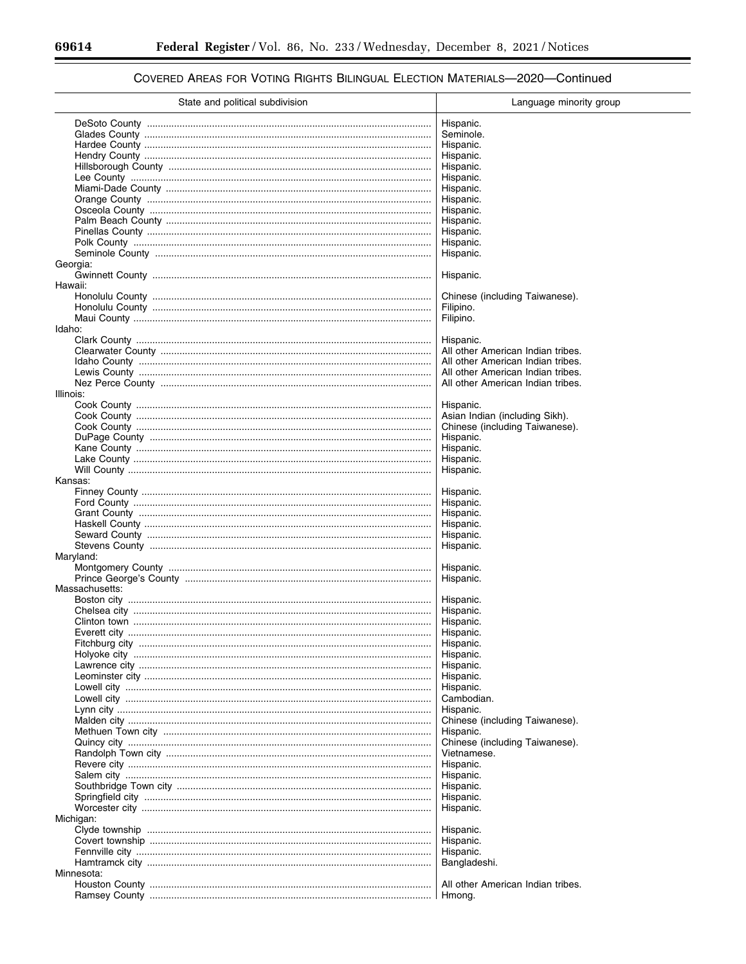#### State and political subdivision Language minority group Hispanic. Seminole. Hispanic. Hispanic. Hispanic. Hispanic. Hispanic. Hispanic. Hispanic. Hispanic. Hispanic. Hispanic. Hispanic. Georgia: Hispanic. Hawaii: Chinese (including Taiwanese). Filipino. Filipino. Idaho<sup>-</sup> Hispanic. All other American Indian tribes. All other American Indian tribes. All other American Indian tribes. All other American Indian tribes. Illinois: Hispanic. Asian Indian (including Sikh). Chinese (including Taiwanese). Hispanic. Hispanic. Hispanic. Hispanic. Kansas: Hispanic. Hispanic. Hispanic. Hispanic. Hispanic. Hispanic. Maryland: Hispanic. Hispanic. Massachusetts: Boston city. Hispanic. Hispanic. Hispanic. Hispanic. Hispanic. Hispanic. Hispanic. Hispanic. Hispanic. Cambodian. Hispanic. Chinese (including Taiwanese). Hispanic. Chinese (including Taiwanese) Vietnamese. Hispanic. Hispanic. Hispanic. Hispanic. Hispanic. Michigan: Hispanic. Hispanic. Hispanic. Bangladeshi. Minnesota: All other American Indian tribes.

Hmong.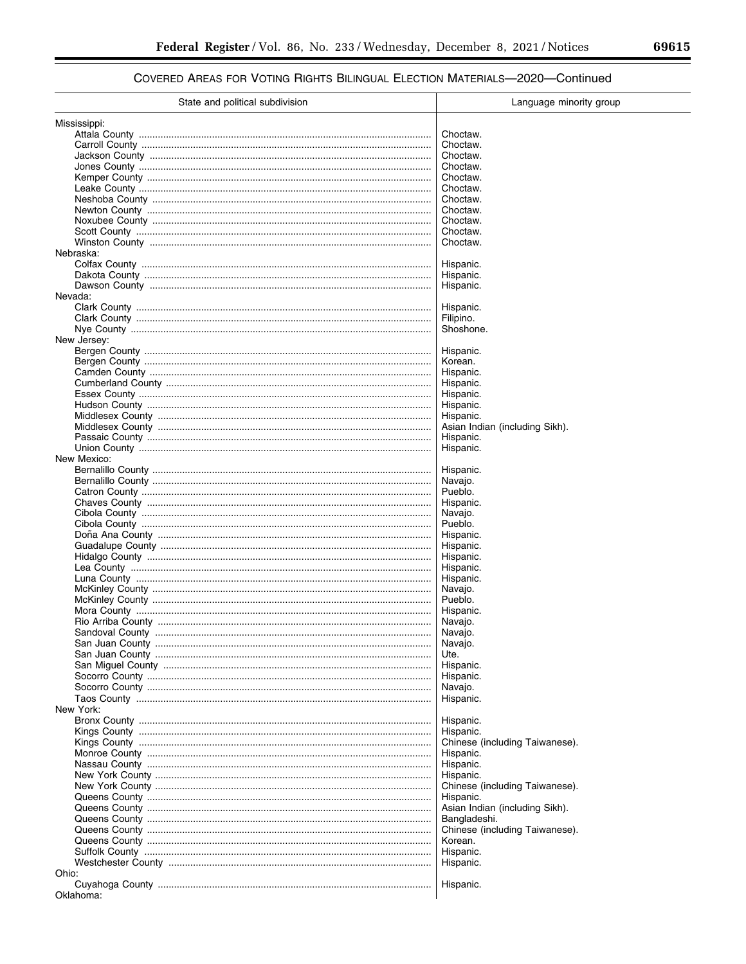| State and political subdivision | Language minority group        |
|---------------------------------|--------------------------------|
| Mississippi:                    |                                |
|                                 | Choctaw.                       |
|                                 | Choctaw.                       |
|                                 | Choctaw.                       |
|                                 | Choctaw.                       |
|                                 | Choctaw.                       |
|                                 | Choctaw.                       |
|                                 | Choctaw.                       |
|                                 | Choctaw.                       |
|                                 | Choctaw.                       |
|                                 | Choctaw.                       |
|                                 | Choctaw.                       |
| Nebraska:                       |                                |
|                                 | Hispanic.                      |
|                                 | Hispanic.                      |
|                                 | Hispanic.                      |
| Nevada:                         |                                |
|                                 |                                |
|                                 | Hispanic.                      |
|                                 | Filipino.                      |
|                                 | Shoshone.                      |
| New Jersey:                     |                                |
|                                 | Hispanic.                      |
|                                 | Korean.                        |
|                                 | Hispanic.                      |
|                                 | Hispanic.                      |
|                                 | Hispanic.                      |
|                                 | Hispanic.                      |
|                                 | Hispanic.                      |
|                                 | Asian Indian (including Sikh). |
|                                 | Hispanic.                      |
|                                 | Hispanic.                      |
| New Mexico:                     |                                |
|                                 | Hispanic.                      |
|                                 | Navajo.                        |
|                                 | Pueblo.                        |
|                                 | Hispanic.                      |
|                                 | Navajo.                        |
|                                 | Pueblo.                        |
|                                 | Hispanic.                      |
|                                 | Hispanic.                      |
|                                 | Hispanic.                      |
|                                 | Hispanic.                      |
|                                 | Hispanic.                      |
|                                 | Navajo.                        |
|                                 | Pueblo.                        |
|                                 | Hispanic.                      |
|                                 | Navajo.                        |
|                                 |                                |
|                                 | Navajo.                        |
|                                 | Navajo.                        |
|                                 | Ute.                           |
|                                 | Hispanic.                      |
|                                 | Hispanic.                      |
|                                 | Navajo.                        |
|                                 | Hispanic.                      |
| New York:                       |                                |
|                                 | Hispanic.                      |
|                                 | Hispanic.                      |
|                                 | Chinese (including Taiwanese). |
|                                 | Hispanic.                      |
|                                 | Hispanic.                      |
|                                 | Hispanic.                      |
|                                 | Chinese (including Taiwanese). |
|                                 | Hispanic.                      |
|                                 | Asian Indian (including Sikh). |
|                                 | Bangladeshi.                   |
|                                 | Chinese (including Taiwanese). |
|                                 | Korean.                        |
|                                 | Hispanic.                      |
|                                 | Hispanic.                      |
| Ohio:                           |                                |
|                                 | Hispanic.                      |
| Oklahoma:                       |                                |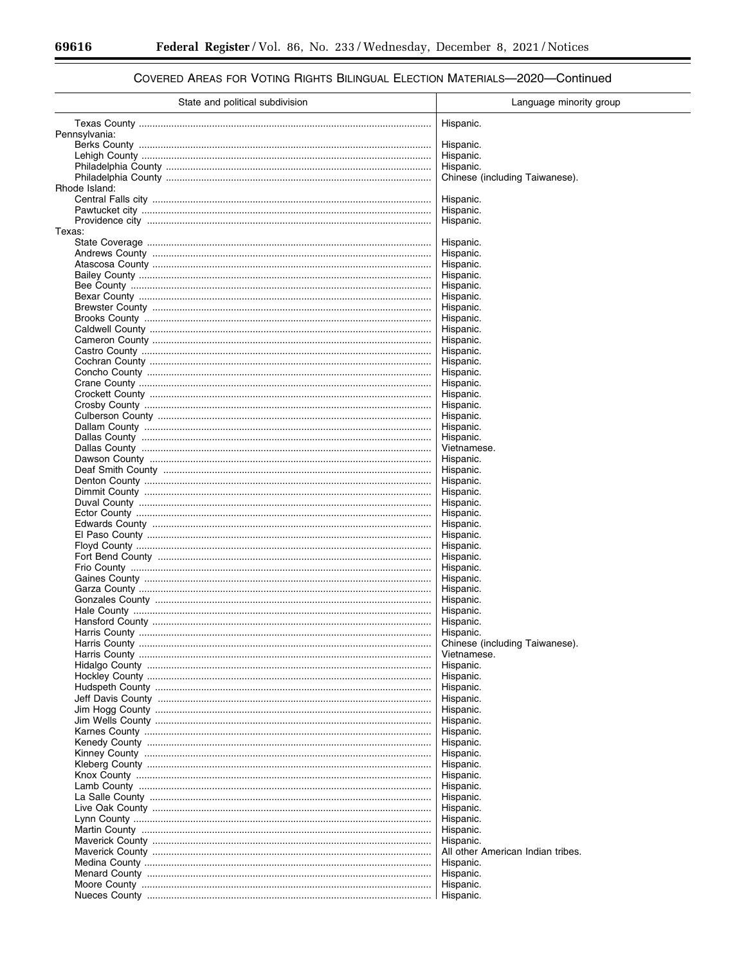$\equiv$ 

▀

| State and political subdivision | Language minority group           |
|---------------------------------|-----------------------------------|
|                                 | Hispanic.                         |
| Pennsylvania:                   |                                   |
|                                 | Hispanic.                         |
|                                 | Hispanic.<br>Hispanic.            |
|                                 | Chinese (including Taiwanese).    |
| Rhode Island:                   |                                   |
|                                 | Hispanic.                         |
|                                 | Hispanic.                         |
| Texas:                          | Hispanic.                         |
|                                 | Hispanic.                         |
|                                 | Hispanic.                         |
|                                 | Hispanic.                         |
|                                 | Hispanic.                         |
|                                 | Hispanic.<br>Hispanic.            |
|                                 | Hispanic.                         |
|                                 | Hispanic.                         |
|                                 | Hispanic.                         |
|                                 | Hispanic.                         |
|                                 | Hispanic.<br>Hispanic.            |
|                                 | Hispanic.                         |
|                                 | Hispanic.                         |
|                                 | Hispanic.                         |
|                                 | Hispanic.                         |
|                                 | Hispanic.<br>Hispanic.            |
|                                 | Hispanic.                         |
|                                 | Vietnamese.                       |
|                                 | Hispanic.                         |
|                                 | Hispanic.                         |
|                                 | Hispanic.<br>Hispanic.            |
|                                 | Hispanic.                         |
|                                 | Hispanic.                         |
|                                 | Hispanic.                         |
|                                 | Hispanic.                         |
|                                 | Hispanic.<br>Hispanic.            |
|                                 | Hispanic.                         |
|                                 | Hispanic.                         |
|                                 | Hispanic.                         |
|                                 | Hispanic.                         |
|                                 | Hispanic.<br>Hispanic.            |
| Harris County.                  | Hispanic.                         |
|                                 | Chinese (including Taiwanese).    |
|                                 | Vietnamese.                       |
|                                 | Hispanic.                         |
|                                 | Hispanic.<br>Hispanic.            |
|                                 | Hispanic.                         |
|                                 | Hispanic.                         |
|                                 | Hispanic.                         |
|                                 | Hispanic.                         |
|                                 | Hispanic.<br>Hispanic.            |
|                                 | Hispanic.                         |
|                                 | Hispanic.                         |
|                                 | Hispanic.                         |
|                                 | Hispanic.                         |
|                                 | Hispanic.                         |
|                                 | Hispanic.<br>Hispanic.            |
|                                 | Hispanic.                         |
|                                 | All other American Indian tribes. |
|                                 | Hispanic.                         |
|                                 | Hispanic.                         |
|                                 | Hispanic.                         |
|                                 | Hispanic.                         |

# COVERED AREAS FOR VOTING RIGHTS BILINGUAL ELECTION MATERIALS-2020-Continued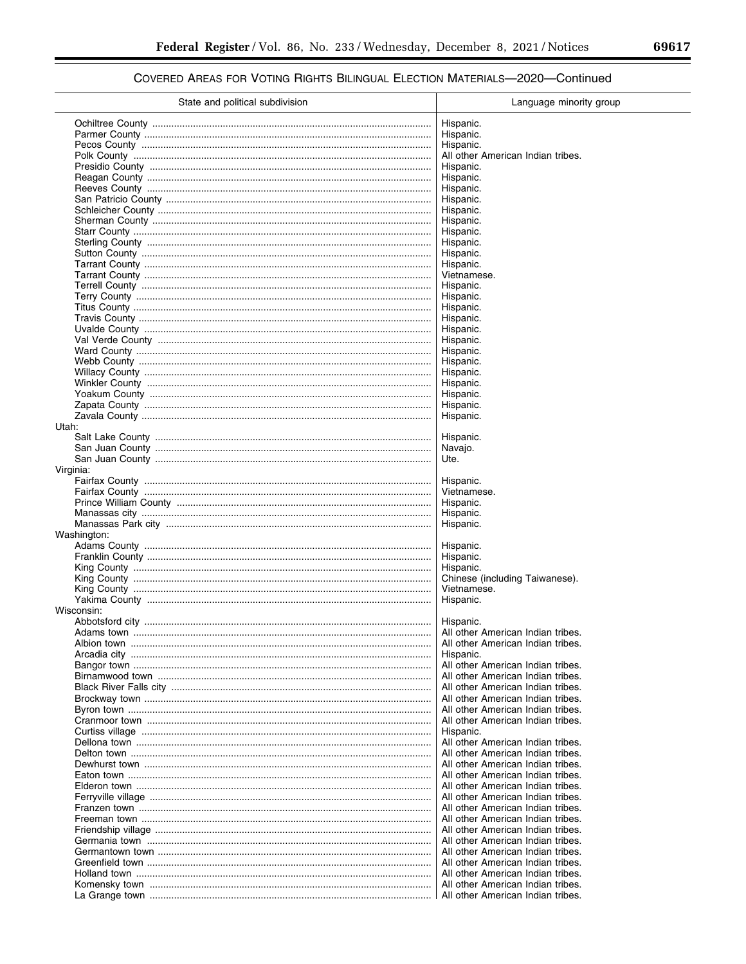| State and political subdivision | Language minority group                     |
|---------------------------------|---------------------------------------------|
|                                 | Hispanic.                                   |
|                                 | Hispanic.                                   |
|                                 | Hispanic.                                   |
|                                 | All other American Indian tribes.           |
|                                 |                                             |
|                                 | Hispanic.                                   |
|                                 | Hispanic.                                   |
|                                 | Hispanic.                                   |
|                                 | Hispanic.                                   |
|                                 | Hispanic.                                   |
|                                 | Hispanic.                                   |
|                                 | Hispanic.                                   |
|                                 | Hispanic.                                   |
|                                 | Hispanic.                                   |
|                                 | Hispanic.                                   |
|                                 | Vietnamese.                                 |
|                                 | Hispanic.                                   |
|                                 | Hispanic.                                   |
|                                 | Hispanic.                                   |
|                                 | Hispanic.                                   |
|                                 | Hispanic.                                   |
|                                 |                                             |
|                                 | Hispanic.                                   |
|                                 | Hispanic.                                   |
|                                 | Hispanic.                                   |
|                                 | Hispanic.                                   |
|                                 | Hispanic.                                   |
|                                 | Hispanic.                                   |
|                                 | Hispanic.                                   |
|                                 | Hispanic.                                   |
| Utah:                           |                                             |
|                                 | Hispanic.                                   |
|                                 | Navajo.                                     |
|                                 | Ute.                                        |
| Virginia:                       |                                             |
|                                 | Hispanic.                                   |
|                                 | Vietnamese.                                 |
|                                 | Hispanic.                                   |
|                                 | Hispanic.                                   |
|                                 | Hispanic.                                   |
| Washington:                     | Hispanic.                                   |
|                                 |                                             |
|                                 | Hispanic.                                   |
|                                 | Hispanic.<br>Chinese (including Taiwanese). |
|                                 | Vietnamese.                                 |
|                                 | Hispanic.                                   |
| Wisconsin:                      |                                             |
|                                 | Hispanic.                                   |
|                                 | All other American Indian tribes.           |
|                                 | All other American Indian tribes.           |
|                                 | Hispanic.                                   |
|                                 | All other American Indian tribes.           |
|                                 | All other American Indian tribes.           |
|                                 | All other American Indian tribes.           |
|                                 | All other American Indian tribes.           |
|                                 | All other American Indian tribes.           |
|                                 | All other American Indian tribes.           |
|                                 | Hispanic.                                   |
|                                 | All other American Indian tribes.           |
|                                 | All other American Indian tribes.           |
|                                 | All other American Indian tribes.           |
|                                 | All other American Indian tribes.           |
|                                 | All other American Indian tribes.           |
|                                 | All other American Indian tribes.           |
|                                 | All other American Indian tribes.           |
|                                 | All other American Indian tribes.           |
|                                 | All other American Indian tribes.           |
|                                 | All other American Indian tribes.           |
|                                 | All other American Indian tribes.           |
|                                 | All other American Indian tribes.           |
|                                 | All other American Indian tribes.           |
|                                 | All other American Indian tribes.           |
|                                 | All other American Indian tribes.           |
|                                 |                                             |